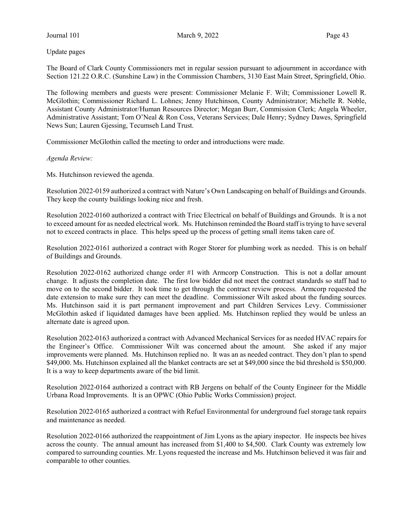Update pages

The Board of Clark County Commissioners met in regular session pursuant to adjournment in accordance with Section 121.22 O.R.C. (Sunshine Law) in the Commission Chambers, 3130 East Main Street, Springfield, Ohio.

The following members and guests were present: Commissioner Melanie F. Wilt; Commissioner Lowell R. McGlothin; Commissioner Richard L. Lohnes; Jenny Hutchinson, County Administrator; Michelle R. Noble, Assistant County Administrator/Human Resources Director; Megan Burr, Commission Clerk; Angela Wheeler, Administrative Assistant; Tom O'Neal & Ron Coss, Veterans Services; Dale Henry; Sydney Dawes, Springfield News Sun; Lauren Gjessing, Tecumseh Land Trust.

Commissioner McGlothin called the meeting to order and introductions were made.

### Agenda Review:

Ms. Hutchinson reviewed the agenda.

Resolution 2022-0159 authorized a contract with Nature's Own Landscaping on behalf of Buildings and Grounds. They keep the county buildings looking nice and fresh.

Resolution 2022-0160 authorized a contract with Triec Electrical on behalf of Buildings and Grounds. It is a not to exceed amount for as needed electrical work. Ms. Hutchinson reminded the Board staff is trying to have several not to exceed contracts in place. This helps speed up the process of getting small items taken care of.

Resolution 2022-0161 authorized a contract with Roger Storer for plumbing work as needed. This is on behalf of Buildings and Grounds.

Resolution 2022-0162 authorized change order #1 with Armcorp Construction. This is not a dollar amount change. It adjusts the completion date. The first low bidder did not meet the contract standards so staff had to move on to the second bidder. It took time to get through the contract review process. Armcorp requested the date extension to make sure they can meet the deadline. Commissioner Wilt asked about the funding sources. Ms. Hutchinson said it is part permanent improvement and part Children Services Levy. Commissioner McGlothin asked if liquidated damages have been applied. Ms. Hutchinson replied they would be unless an alternate date is agreed upon.

Resolution 2022-0163 authorized a contract with Advanced Mechanical Services for as needed HVAC repairs for the Engineer's Office. Commissioner Wilt was concerned about the amount. She asked if any major improvements were planned. Ms. Hutchinson replied no. It was an as needed contract. They don't plan to spend \$49,000. Ms. Hutchinson explained all the blanket contracts are set at \$49,000 since the bid threshold is \$50,000. It is a way to keep departments aware of the bid limit.

Resolution 2022-0164 authorized a contract with RB Jergens on behalf of the County Engineer for the Middle Urbana Road Improvements. It is an OPWC (Ohio Public Works Commission) project.

Resolution 2022-0165 authorized a contract with Refuel Environmental for underground fuel storage tank repairs and maintenance as needed.

Resolution 2022-0166 authorized the reappointment of Jim Lyons as the apiary inspector. He inspects bee hives across the county. The annual amount has increased from \$1,400 to \$4,500. Clark County was extremely low compared to surrounding counties. Mr. Lyons requested the increase and Ms. Hutchinson believed it was fair and comparable to other counties.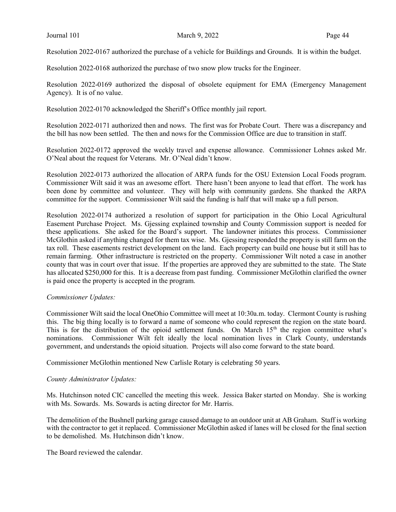Resolution 2022-0167 authorized the purchase of a vehicle for Buildings and Grounds. It is within the budget.

Resolution 2022-0168 authorized the purchase of two snow plow trucks for the Engineer.

Resolution 2022-0169 authorized the disposal of obsolete equipment for EMA (Emergency Management Agency). It is of no value.

Resolution 2022-0170 acknowledged the Sheriff's Office monthly jail report.

Resolution 2022-0171 authorized then and nows. The first was for Probate Court. There was a discrepancy and the bill has now been settled. The then and nows for the Commission Office are due to transition in staff.

Resolution 2022-0172 approved the weekly travel and expense allowance. Commissioner Lohnes asked Mr. O'Neal about the request for Veterans. Mr. O'Neal didn't know.

Resolution 2022-0173 authorized the allocation of ARPA funds for the OSU Extension Local Foods program. Commissioner Wilt said it was an awesome effort. There hasn't been anyone to lead that effort. The work has been done by committee and volunteer. They will help with community gardens. She thanked the ARPA committee for the support. Commissioner Wilt said the funding is half that will make up a full person.

Resolution 2022-0174 authorized a resolution of support for participation in the Ohio Local Agricultural Easement Purchase Project. Ms. Gjessing explained township and County Commission support is needed for these applications. She asked for the Board's support. The landowner initiates this process. Commissioner McGlothin asked if anything changed for them tax wise. Ms. Gjessing responded the property is still farm on the tax roll. These easements restrict development on the land. Each property can build one house but it still has to remain farming. Other infrastructure is restricted on the property. Commissioner Wilt noted a case in another county that was in court over that issue. If the properties are approved they are submitted to the state. The State has allocated \$250,000 for this. It is a decrease from past funding. Commissioner McGlothin clarified the owner is paid once the property is accepted in the program.

### Commissioner Updates:

Commissioner Wilt said the local OneOhio Committee will meet at 10:30a.m. today. Clermont County is rushing this. The big thing locally is to forward a name of someone who could represent the region on the state board. This is for the distribution of the opioid settlement funds. On March 15<sup>th</sup> the region committee what's nominations. Commissioner Wilt felt ideally the local nomination lives in Clark County, understands government, and understands the opioid situation. Projects will also come forward to the state board.

Commissioner McGlothin mentioned New Carlisle Rotary is celebrating 50 years.

#### County Administrator Updates:

Ms. Hutchinson noted CIC cancelled the meeting this week. Jessica Baker started on Monday. She is working with Ms. Sowards. Ms. Sowards is acting director for Mr. Harris.

The demolition of the Bushnell parking garage caused damage to an outdoor unit at AB Graham. Staff is working with the contractor to get it replaced. Commissioner McGlothin asked if lanes will be closed for the final section to be demolished. Ms. Hutchinson didn't know.

The Board reviewed the calendar.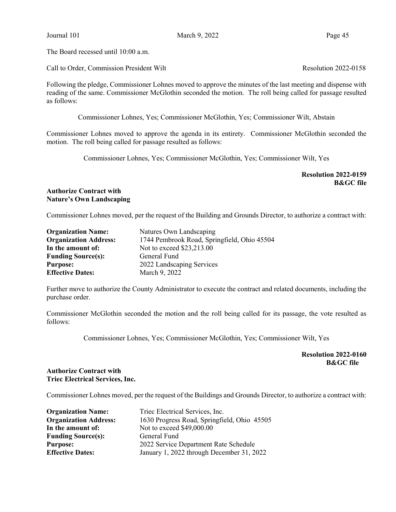The Board recessed until 10:00 a.m.

Call to Order, Commission President Wilt Resolution 2022-0158

Following the pledge, Commissioner Lohnes moved to approve the minutes of the last meeting and dispense with reading of the same. Commissioner McGlothin seconded the motion. The roll being called for passage resulted as follows:

Commissioner Lohnes, Yes; Commissioner McGlothin, Yes; Commissioner Wilt, Abstain

Commissioner Lohnes moved to approve the agenda in its entirety. Commissioner McGlothin seconded the motion. The roll being called for passage resulted as follows:

Commissioner Lohnes, Yes; Commissioner McGlothin, Yes; Commissioner Wilt, Yes

Resolution 2022-0159 B&GC file

Authorize Contract with Nature's Own Landscaping

Commissioner Lohnes moved, per the request of the Building and Grounds Director, to authorize a contract with:

| <b>Organization Name:</b>    | Natures Own Landscaping                     |
|------------------------------|---------------------------------------------|
| <b>Organization Address:</b> | 1744 Pembrook Road, Springfield, Ohio 45504 |
| In the amount of:            | Not to exceed \$23,213.00                   |
| <b>Funding Source(s):</b>    | General Fund                                |
| <b>Purpose:</b>              | 2022 Landscaping Services                   |
| <b>Effective Dates:</b>      | March 9, 2022                               |

Further move to authorize the County Administrator to execute the contract and related documents, including the purchase order.

Commissioner McGlothin seconded the motion and the roll being called for its passage, the vote resulted as follows:

Commissioner Lohnes, Yes; Commissioner McGlothin, Yes; Commissioner Wilt, Yes

Resolution 2022-0160 B&GC file

### Authorize Contract with Triec Electrical Services, Inc.

Commissioner Lohnes moved, per the request of the Buildings and Grounds Director, to authorize a contract with:

| <b>Organization Name:</b>    | Triec Electrical Services, Inc.             |
|------------------------------|---------------------------------------------|
| <b>Organization Address:</b> | 1630 Progress Road, Springfield, Ohio 45505 |
| In the amount of:            | Not to exceed \$49,000.00                   |
| <b>Funding Source(s):</b>    | General Fund                                |
| <b>Purpose:</b>              | 2022 Service Department Rate Schedule       |
| <b>Effective Dates:</b>      | January 1, 2022 through December 31, 2022   |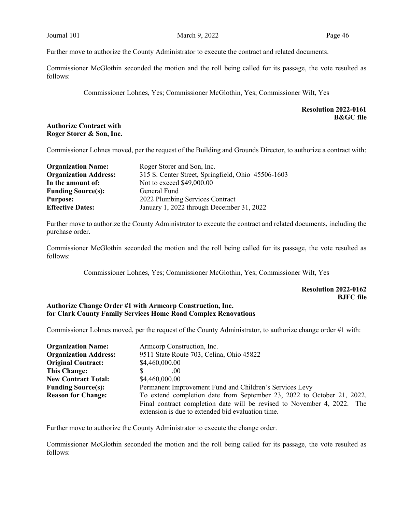Further move to authorize the County Administrator to execute the contract and related documents.

Commissioner McGlothin seconded the motion and the roll being called for its passage, the vote resulted as follows:

Commissioner Lohnes, Yes; Commissioner McGlothin, Yes; Commissioner Wilt, Yes

# Resolution 2022-0161 B&GC file

# Authorize Contract with Roger Storer & Son, Inc.

Commissioner Lohnes moved, per the request of the Building and Grounds Director, to authorize a contract with:

| <b>Organization Name:</b>    | Roger Storer and Son, Inc.                         |  |  |
|------------------------------|----------------------------------------------------|--|--|
| <b>Organization Address:</b> | 315 S. Center Street, Springfield, Ohio 45506-1603 |  |  |
| In the amount of:            | Not to exceed \$49,000.00                          |  |  |
| <b>Funding Source(s):</b>    | General Fund                                       |  |  |
| <b>Purpose:</b>              | 2022 Plumbing Services Contract                    |  |  |
| <b>Effective Dates:</b>      | January 1, 2022 through December 31, 2022          |  |  |

Further move to authorize the County Administrator to execute the contract and related documents, including the purchase order.

Commissioner McGlothin seconded the motion and the roll being called for its passage, the vote resulted as follows:

Commissioner Lohnes, Yes; Commissioner McGlothin, Yes; Commissioner Wilt, Yes

Resolution 2022-0162 BJFC file

# Authorize Change Order #1 with Armcorp Construction, Inc. for Clark County Family Services Home Road Complex Renovations

Commissioner Lohnes moved, per the request of the County Administrator, to authorize change order #1 with:

| <b>Organization Name:</b>    | Armeorp Construction, Inc.                                              |  |  |
|------------------------------|-------------------------------------------------------------------------|--|--|
| <b>Organization Address:</b> | 9511 State Route 703, Celina, Ohio 45822                                |  |  |
| <b>Original Contract:</b>    | \$4,460,000.00                                                          |  |  |
| <b>This Change:</b>          | .00                                                                     |  |  |
| <b>New Contract Total:</b>   | \$4,460,000.00                                                          |  |  |
| <b>Funding Source(s):</b>    | Permanent Improvement Fund and Children's Services Levy                 |  |  |
| <b>Reason for Change:</b>    | To extend completion date from September 23, 2022 to October 21, 2022.  |  |  |
|                              | Final contract completion date will be revised to November 4, 2022. The |  |  |
|                              | extension is due to extended bid evaluation time.                       |  |  |

Further move to authorize the County Administrator to execute the change order.

Commissioner McGlothin seconded the motion and the roll being called for its passage, the vote resulted as follows: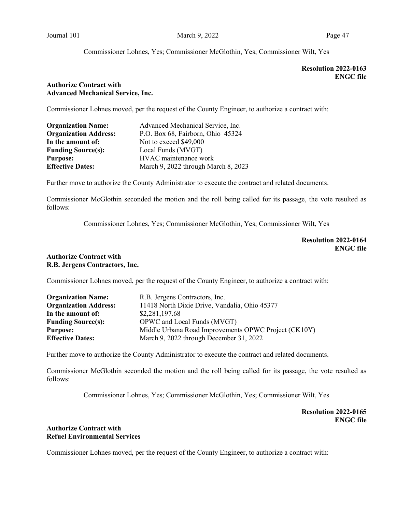### Commissioner Lohnes, Yes; Commissioner McGlothin, Yes; Commissioner Wilt, Yes

# Resolution 2022-0163 ENGC file

### Authorize Contract with Advanced Mechanical Service, Inc.

Commissioner Lohnes moved, per the request of the County Engineer, to authorize a contract with:

| <b>Organization Name:</b>    | Advanced Mechanical Service, Inc.   |
|------------------------------|-------------------------------------|
| <b>Organization Address:</b> | P.O. Box 68, Fairborn, Ohio 45324   |
| In the amount of:            | Not to exceed \$49,000              |
| <b>Funding Source(s):</b>    | Local Funds (MVGT)                  |
| <b>Purpose:</b>              | HVAC maintenance work               |
| <b>Effective Dates:</b>      | March 9, 2022 through March 8, 2023 |

Further move to authorize the County Administrator to execute the contract and related documents.

Commissioner McGlothin seconded the motion and the roll being called for its passage, the vote resulted as follows:

Commissioner Lohnes, Yes; Commissioner McGlothin, Yes; Commissioner Wilt, Yes

Resolution 2022-0164 ENGC file

### Authorize Contract with R.B. Jergens Contractors, Inc.

Commissioner Lohnes moved, per the request of the County Engineer, to authorize a contract with:

| <b>Organization Name:</b>    | R.B. Jergens Contractors, Inc.                       |
|------------------------------|------------------------------------------------------|
| <b>Organization Address:</b> | 11418 North Dixie Drive, Vandalia, Ohio 45377        |
| In the amount of:            | \$2,281,197.68                                       |
| <b>Funding Source(s):</b>    | OPWC and Local Funds (MVGT)                          |
| <b>Purpose:</b>              | Middle Urbana Road Improvements OPWC Project (CK10Y) |
| <b>Effective Dates:</b>      | March 9, 2022 through December 31, 2022              |

Further move to authorize the County Administrator to execute the contract and related documents.

Commissioner McGlothin seconded the motion and the roll being called for its passage, the vote resulted as follows:

Commissioner Lohnes, Yes; Commissioner McGlothin, Yes; Commissioner Wilt, Yes

Resolution 2022-0165 ENGC file

### Authorize Contract with Refuel Environmental Services

Commissioner Lohnes moved, per the request of the County Engineer, to authorize a contract with: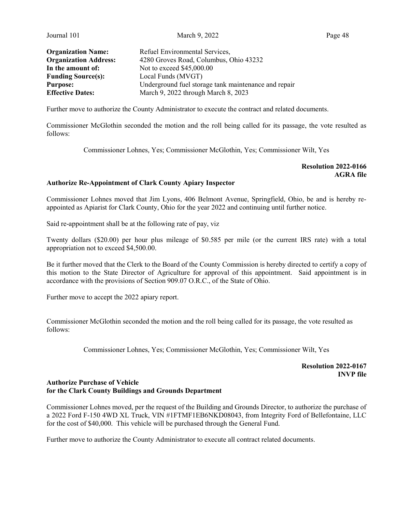Journal 101 **March 9, 2022** Page 48

| <b>Organization Name:</b>    | Refuel Environmental Services,                       |
|------------------------------|------------------------------------------------------|
| <b>Organization Address:</b> | 4280 Groves Road, Columbus, Ohio 43232               |
| In the amount of:            | Not to exceed \$45,000.00                            |
| <b>Funding Source(s):</b>    | Local Funds (MVGT)                                   |
| <b>Purpose:</b>              | Underground fuel storage tank maintenance and repair |
| <b>Effective Dates:</b>      | March 9, 2022 through March 8, 2023                  |

Further move to authorize the County Administrator to execute the contract and related documents.

Commissioner McGlothin seconded the motion and the roll being called for its passage, the vote resulted as follows:

Commissioner Lohnes, Yes; Commissioner McGlothin, Yes; Commissioner Wilt, Yes

Resolution 2022-0166 AGRA file

### Authorize Re-Appointment of Clark County Apiary Inspector

Commissioner Lohnes moved that Jim Lyons, 406 Belmont Avenue, Springfield, Ohio, be and is hereby reappointed as Apiarist for Clark County, Ohio for the year 2022 and continuing until further notice.

Said re-appointment shall be at the following rate of pay, viz

Twenty dollars (\$20.00) per hour plus mileage of \$0.585 per mile (or the current IRS rate) with a total appropriation not to exceed \$4,500.00.

Be it further moved that the Clerk to the Board of the County Commission is hereby directed to certify a copy of this motion to the State Director of Agriculture for approval of this appointment. Said appointment is in accordance with the provisions of Section 909.07 O.R.C., of the State of Ohio.

Further move to accept the 2022 apiary report.

Commissioner McGlothin seconded the motion and the roll being called for its passage, the vote resulted as follows:

Commissioner Lohnes, Yes; Commissioner McGlothin, Yes; Commissioner Wilt, Yes

### Resolution 2022-0167 INVP file

#### Authorize Purchase of Vehicle for the Clark County Buildings and Grounds Department

Commissioner Lohnes moved, per the request of the Building and Grounds Director, to authorize the purchase of a 2022 Ford F-150 4WD XL Truck, VIN #1FTMF1EB6NKD08043, from Integrity Ford of Bellefontaine, LLC for the cost of \$40,000. This vehicle will be purchased through the General Fund.

Further move to authorize the County Administrator to execute all contract related documents.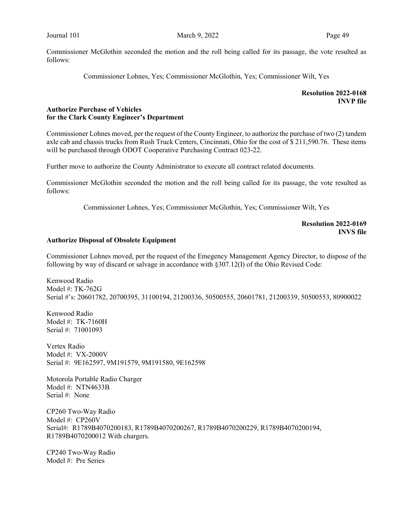Commissioner McGlothin seconded the motion and the roll being called for its passage, the vote resulted as follows:

Commissioner Lohnes, Yes; Commissioner McGlothin, Yes; Commissioner Wilt, Yes

## Resolution 2022-0168 INVP file

### Authorize Purchase of Vehicles for the Clark County Engineer's Department

Commissioner Lohnes moved, per the request of the County Engineer, to authorize the purchase of two (2) tandem axle cab and chassis trucks from Rush Truck Centers, Cincinnati, Ohio for the cost of \$ 211,590.76. These items will be purchased through ODOT Cooperative Purchasing Contract 023-22.

Further move to authorize the County Administrator to execute all contract related documents.

Commissioner McGlothin seconded the motion and the roll being called for its passage, the vote resulted as follows:

Commissioner Lohnes, Yes; Commissioner McGlothin, Yes; Commissioner Wilt, Yes

Resolution 2022-0169 INVS file

#### Authorize Disposal of Obsolete Equipment

Commissioner Lohnes moved, per the request of the Emegency Management Agency Director, to dispose of the following by way of discard or salvage in accordance with §307.12(I) of the Ohio Revised Code:

Kenwood Radio Model #: TK-762G Serial #'s: 20601782, 20700395, 31100194, 21200336, 50500555, 20601781, 21200339, 50500553, 80900022

Kenwood Radio Model #: TK-7160H Serial #: 71001093

Vertex Radio Model #: VX-2000V Serial #: 9E162597, 9M191579, 9M191580, 9E162598

Motorola Portable Radio Charger Model #: NTN4633B Serial #: None

CP260 Two-Way Radio Model #: CP260V Serial#: R1789B4070200183, R1789B4070200267, R1789B4070200229, R1789B4070200194, R1789B4070200012 With chargers.

CP240 Two-Way Radio Model #: Pre Series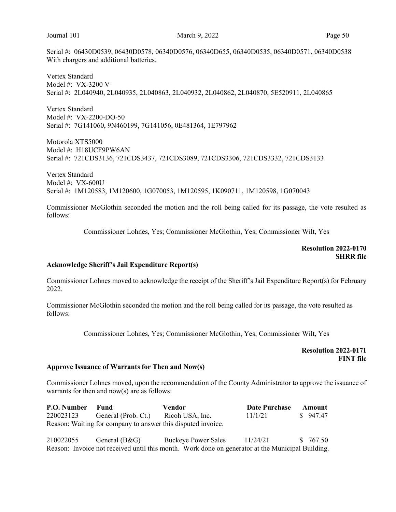Serial #: 06430D0539, 06430D0578, 06340D0576, 06340D655, 06340D0535, 06340D0571, 06340D0538 With chargers and additional batteries.

Vertex Standard Model #: VX-3200 V Serial #: 2L040940, 2L040935, 2L040863, 2L040932, 2L040862, 2L040870, 5E520911, 2L040865

Vertex Standard Model #: VX-2200-DO-50 Serial #: 7G141060, 9N460199, 7G141056, 0E481364, 1E797962

Motorola XTS5000 Model #: H18UCF9PW6AN Serial #: 721CDS3136, 721CDS3437, 721CDS3089, 721CDS3306, 721CDS3332, 721CDS3133

Vertex Standard Model #: VX-600U Serial #: 1M120583, 1M120600, 1G070053, 1M120595, 1K090711, 1M120598, 1G070043

Commissioner McGlothin seconded the motion and the roll being called for its passage, the vote resulted as follows:

Commissioner Lohnes, Yes; Commissioner McGlothin, Yes; Commissioner Wilt, Yes

# Resolution 2022-0170 **SHRR** file

#### Acknowledge Sheriff's Jail Expenditure Report(s)

Commissioner Lohnes moved to acknowledge the receipt of the Sheriff's Jail Expenditure Report(s) for February 2022.

Commissioner McGlothin seconded the motion and the roll being called for its passage, the vote resulted as follows:

Commissioner Lohnes, Yes; Commissioner McGlothin, Yes; Commissioner Wilt, Yes

 Resolution 2022-0171 FINT file

#### Approve Issuance of Warrants for Then and Now(s)

Commissioner Lohnes moved, upon the recommendation of the County Administrator to approve the issuance of warrants for then and now(s) are as follows:

| <b>P.O. Number</b> Fund |                                                              | Vendor | Date Purchase Amount |          |
|-------------------------|--------------------------------------------------------------|--------|----------------------|----------|
|                         | 220023123 General (Prob. Ct.) Ricoh USA, Inc.                |        | 11/1/21              | \$947.47 |
|                         | Reason: Waiting for company to answer this disputed invoice. |        |                      |          |

| 210022055 | General (B&G)                                                                                    | <b>Buckeye Power Sales</b> | 11/24/21 | \$ 767.50 |
|-----------|--------------------------------------------------------------------------------------------------|----------------------------|----------|-----------|
|           | Reason: Invoice not received until this month. Work done on generator at the Municipal Building. |                            |          |           |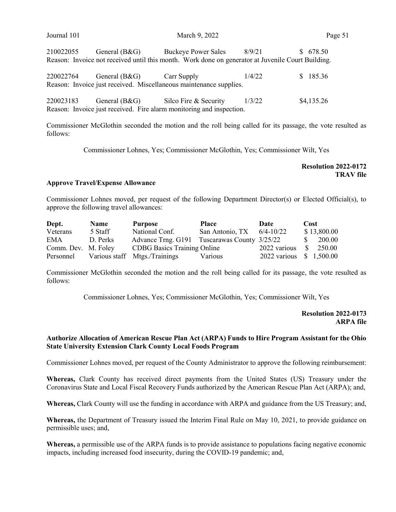| Journal 101 | March 9, 2022   |                                                                                                   |        | Page 51      |  |
|-------------|-----------------|---------------------------------------------------------------------------------------------------|--------|--------------|--|
| 210022055   |                 | General (B&G) Buckeye Power Sales                                                                 | 8/9/21 | 678.50<br>S. |  |
|             |                 | Reason: Invoice not received until this month. Work done on generator at Juvenile Court Building. |        |              |  |
| 220022764   | General $(B&G)$ | Carr Supply                                                                                       | 1/4/22 | \$185.36     |  |
|             |                 | Reason: Invoice just received. Miscellaneous maintenance supplies.                                |        |              |  |
| 220023183   | General $(B&G)$ | Silco Fire & Security                                                                             | 1/3/22 | \$4,135.26   |  |
|             |                 | Reason: Invoice just received. Fire alarm monitoring and inspection.                              |        |              |  |

Commissioner McGlothin seconded the motion and the roll being called for its passage, the vote resulted as follows:

Commissioner Lohnes, Yes; Commissioner McGlothin, Yes; Commissioner Wilt, Yes

Resolution 2022-0172 TRAV file

### Approve Travel/Expense Allowance

Commissioner Lohnes moved, per request of the following Department Director(s) or Elected Official(s), to approve the following travel allowances:

| Dept.               | <b>Name</b> | Purpose                                      | Place           | Date                    | Cost          |
|---------------------|-------------|----------------------------------------------|-----------------|-------------------------|---------------|
| Veterans            | 5 Staff     | National Conf.                               | San Antonio, TX | $6/4 - 10/22$           | \$13,800.00   |
| EMA                 | D. Perks    | Advance Trng. G191 Tuscarawas County 3/25/22 |                 |                         | 200.00        |
| Comm. Dev. M. Foley |             | <b>CDBG</b> Basics Training Online           |                 | 2022 various            | - S<br>250.00 |
|                     |             | Personnel Various staff Mtgs./Trainings      | Various         | 2022 various \$1,500.00 |               |

Commissioner McGlothin seconded the motion and the roll being called for its passage, the vote resulted as follows:

Commissioner Lohnes, Yes; Commissioner McGlothin, Yes; Commissioner Wilt, Yes

Resolution 2022-0173 ARPA file

### Authorize Allocation of American Rescue Plan Act (ARPA) Funds to Hire Program Assistant for the Ohio State University Extension Clark County Local Foods Program

Commissioner Lohnes moved, per request of the County Administrator to approve the following reimbursement:

Whereas, Clark County has received direct payments from the United States (US) Treasury under the Coronavirus State and Local Fiscal Recovery Funds authorized by the American Rescue Plan Act (ARPA); and,

Whereas, Clark County will use the funding in accordance with ARPA and guidance from the US Treasury; and,

Whereas, the Department of Treasury issued the Interim Final Rule on May 10, 2021, to provide guidance on permissible uses; and,

Whereas, a permissible use of the ARPA funds is to provide assistance to populations facing negative economic impacts, including increased food insecurity, during the COVID-19 pandemic; and,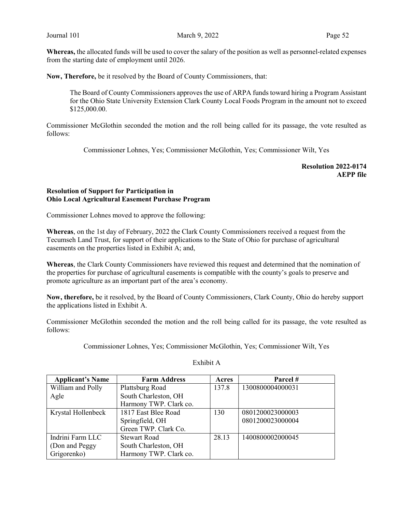Whereas, the allocated funds will be used to cover the salary of the position as well as personnel-related expenses from the starting date of employment until 2026.

Now, Therefore, be it resolved by the Board of County Commissioners, that:

The Board of County Commissioners approves the use of ARPA funds toward hiring a Program Assistant for the Ohio State University Extension Clark County Local Foods Program in the amount not to exceed \$125,000.00.

Commissioner McGlothin seconded the motion and the roll being called for its passage, the vote resulted as follows:

Commissioner Lohnes, Yes; Commissioner McGlothin, Yes; Commissioner Wilt, Yes

Resolution 2022-0174 AEPP file

### Resolution of Support for Participation in Ohio Local Agricultural Easement Purchase Program

Commissioner Lohnes moved to approve the following:

Whereas, on the 1st day of February, 2022 the Clark County Commissioners received a request from the Tecumseh Land Trust, for support of their applications to the State of Ohio for purchase of agricultural easements on the properties listed in Exhibit A; and,

Whereas, the Clark County Commissioners have reviewed this request and determined that the nomination of the properties for purchase of agricultural easements is compatible with the county's goals to preserve and promote agriculture as an important part of the area's economy.

Now, therefore, be it resolved, by the Board of County Commissioners, Clark County, Ohio do hereby support the applications listed in Exhibit A.

Commissioner McGlothin seconded the motion and the roll being called for its passage, the vote resulted as follows:

Commissioner Lohnes, Yes; Commissioner McGlothin, Yes; Commissioner Wilt, Yes

| <b>Applicant's Name</b> | <b>Farm Address</b>    | Acres | Parcel #         |
|-------------------------|------------------------|-------|------------------|
| William and Polly       | Plattsburg Road        | 137.8 | 1300800004000031 |
| Agle                    | South Charleston, OH   |       |                  |
|                         | Harmony TWP. Clark co. |       |                  |
| Krystal Hollenbeck      | 1817 East Blee Road    | 130   | 0801200023000003 |
|                         | Springfield, OH        |       | 0801200023000004 |
|                         | Green TWP. Clark Co.   |       |                  |
| Indrini Farm LLC        | <b>Stewart Road</b>    | 28.13 | 1400800002000045 |
| (Don and Peggy)         | South Charleston, OH   |       |                  |
| Grigorenko)             | Harmony TWP. Clark co. |       |                  |

### Exhibit A